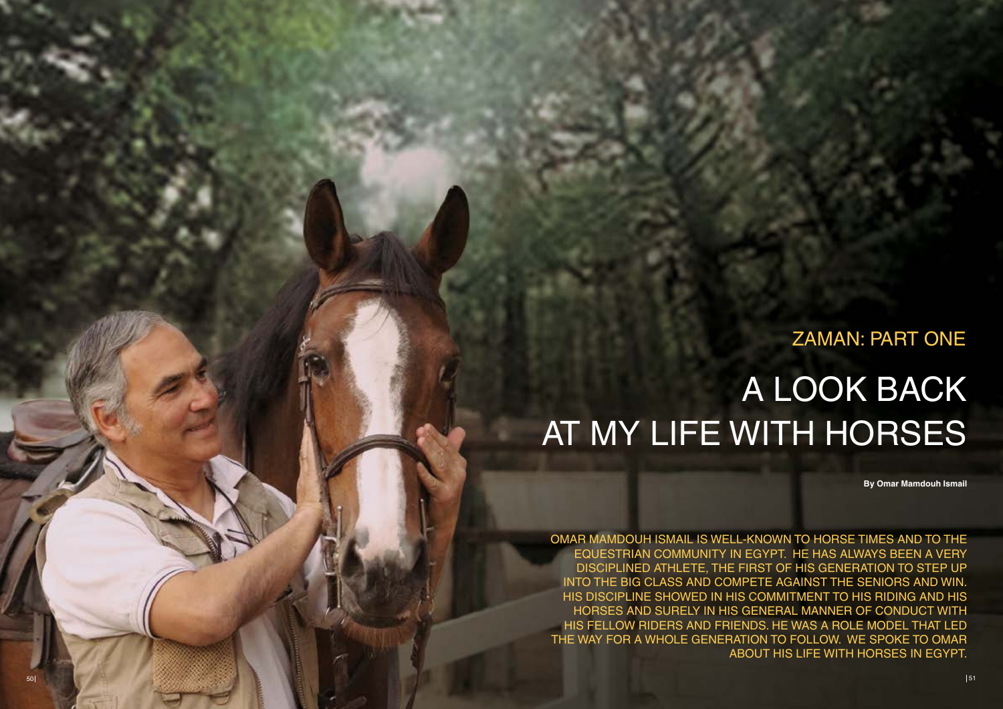OMAR MAMDOUH ISMAIL IS WELL-KNOWN TO HORSE TIMES AND TO THE EQUESTRIAN COMMUNITY IN EGYPT. HE HAS ALWAYS BEEN A VERY DISCIPLINED ATHLETE, THE FIRST OF HIS GENERATION TO STEP UP INTO THE BIG CLASS AND COMPETE AGAINST THE SENIORS AND WIN. HIS DISCIPLINE SHOWED IN HIS COMMITMENT TO HIS RIDING AND HIS HORSES AND SURELY IN HIS GENERAL MANNER OF CONDUCT WITH HIS FELLOW RIDERS AND FRIENDS. HE WAS A ROLE MODEL THAT LED THE WAY FOR A WHOLE GENERATION TO FOLLOW. WE SPOKE TO OMAR ABOUT HIS LIFE WITH HORSES IN EG YPT.

## ZAMAN: PART ONE A Look Back at My Life with Horses

**By Omar Mamdouh Ismail**